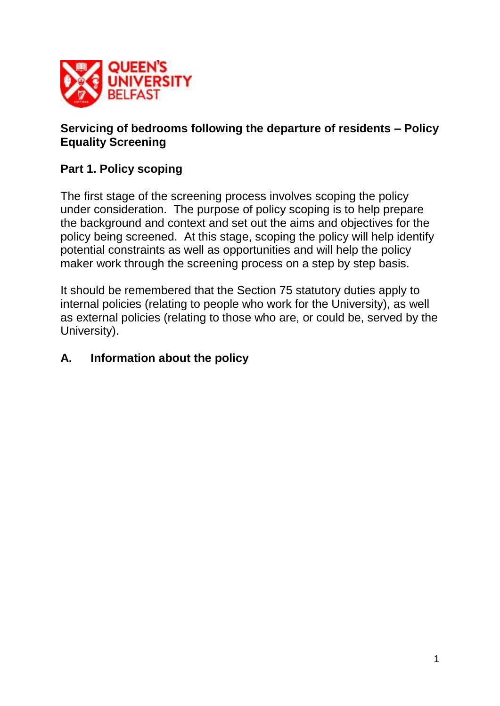

### **Servicing of bedrooms following the departure of residents – Policy Equality Screening**

# **Part 1. Policy scoping**

The first stage of the screening process involves scoping the policy under consideration. The purpose of policy scoping is to help prepare the background and context and set out the aims and objectives for the policy being screened. At this stage, scoping the policy will help identify potential constraints as well as opportunities and will help the policy maker work through the screening process on a step by step basis.

It should be remembered that the Section 75 statutory duties apply to internal policies (relating to people who work for the University), as well as external policies (relating to those who are, or could be, served by the University).

# **A. Information about the policy**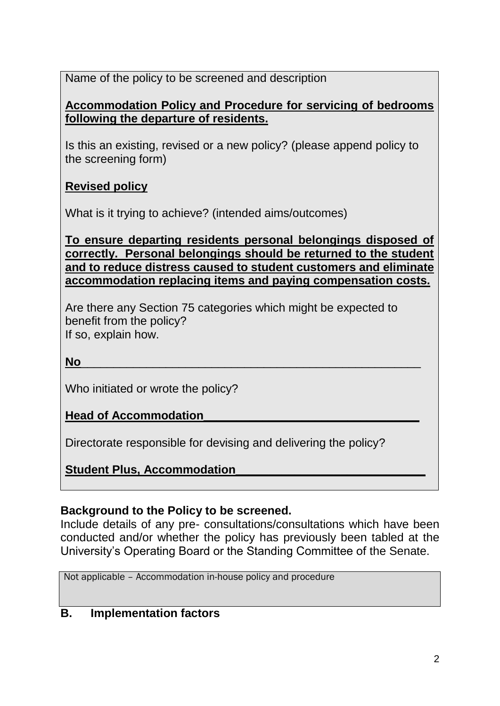Name of the policy to be screened and description

### **Accommodation Policy and Procedure for servicing of bedrooms following the departure of residents.**

Is this an existing, revised or a new policy? (please append policy to the screening form)

# **Revised policy**

What is it trying to achieve? (intended aims/outcomes)

**To ensure departing residents personal belongings disposed of correctly. Personal belongings should be returned to the student and to reduce distress caused to student customers and eliminate accommodation replacing items and paying compensation costs.**

Are there any Section 75 categories which might be expected to benefit from the policy? If so, explain how.

**No**\_\_\_\_\_\_\_\_\_\_\_\_\_\_\_\_\_\_\_\_\_\_\_\_\_\_\_\_\_\_\_\_\_\_\_\_\_\_\_\_\_\_\_\_\_\_\_\_\_\_\_\_

Who initiated or wrote the policy?

**Head of Accommodation\_\_\_\_\_\_\_\_\_\_\_\_\_\_\_\_\_\_\_\_\_\_\_\_\_\_\_\_\_\_\_\_\_**

Directorate responsible for devising and delivering the policy?

**Student Plus, Accommodation\_\_\_\_\_\_\_\_\_\_\_\_\_\_\_\_\_\_\_\_\_\_\_\_\_\_\_\_\_**

# **Background to the Policy to be screened.**

Include details of any pre- consultations/consultations which have been conducted and/or whether the policy has previously been tabled at the University's Operating Board or the Standing Committee of the Senate.

Not applicable – Accommodation in-house policy and procedure

# **B. Implementation factors**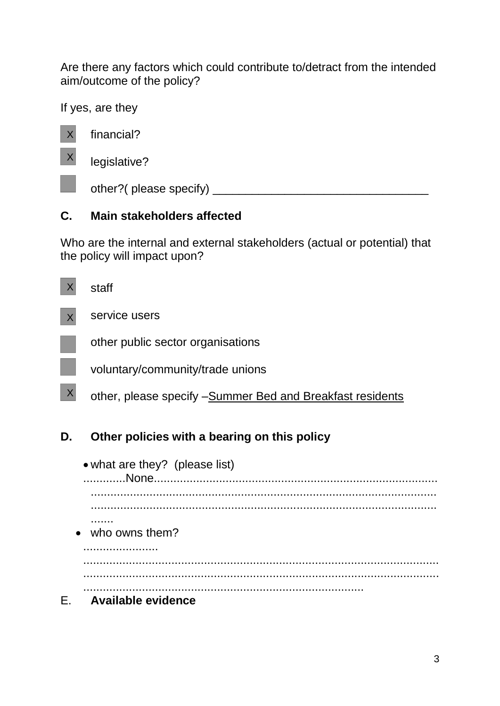Are there any factors which could contribute to/detract from the intended aim/outcome of the policy?

If yes, are they



# **C. Main stakeholders affected**

Who are the internal and external stakeholders (actual or potential) that the policy will impact upon?

|                  | staff                                                     |
|------------------|-----------------------------------------------------------|
|                  | service users                                             |
|                  | other public sector organisations                         |
|                  | voluntary/community/trade unions                          |
| $\boldsymbol{X}$ | other, please specify -Summer Bed and Breakfast residents |
| D.               | Other policies with a bearing on this policy              |
|                  | • what are they? (please list)<br>None.                   |
|                  |                                                           |

• who owns them?

.......

....................... ............................................................................................................. ............................................................................................................. ......................................................................................

E. **Available evidence**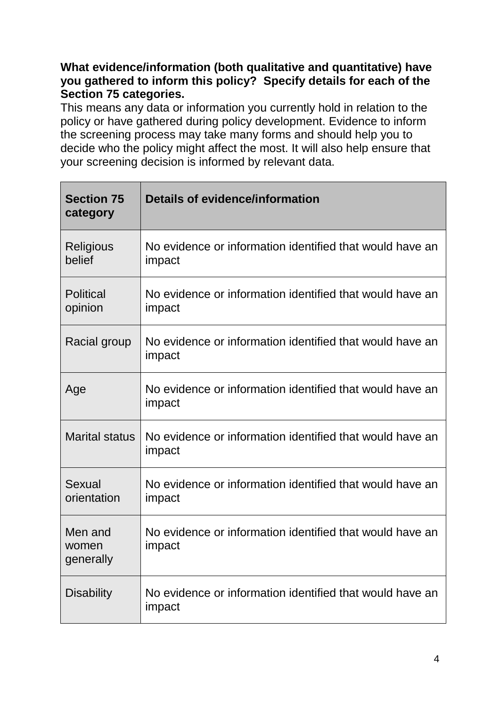### **What evidence/information (both qualitative and quantitative) have you gathered to inform this policy? Specify details for each of the Section 75 categories.**

This means any data or information you currently hold in relation to the policy or have gathered during policy development. Evidence to inform the screening process may take many forms and should help you to decide who the policy might affect the most. It will also help ensure that your screening decision is informed by relevant data.

| <b>Section 75</b><br>category | <b>Details of evidence/information</b>                             |  |
|-------------------------------|--------------------------------------------------------------------|--|
| Religious<br>belief           | No evidence or information identified that would have an<br>impact |  |
| <b>Political</b><br>opinion   | No evidence or information identified that would have an<br>impact |  |
| Racial group                  | No evidence or information identified that would have an<br>impact |  |
| Age                           | No evidence or information identified that would have an<br>impact |  |
| <b>Marital status</b>         | No evidence or information identified that would have an<br>impact |  |
| <b>Sexual</b><br>orientation  | No evidence or information identified that would have an<br>impact |  |
| Men and<br>women<br>generally | No evidence or information identified that would have an<br>impact |  |
| <b>Disability</b>             | No evidence or information identified that would have an<br>impact |  |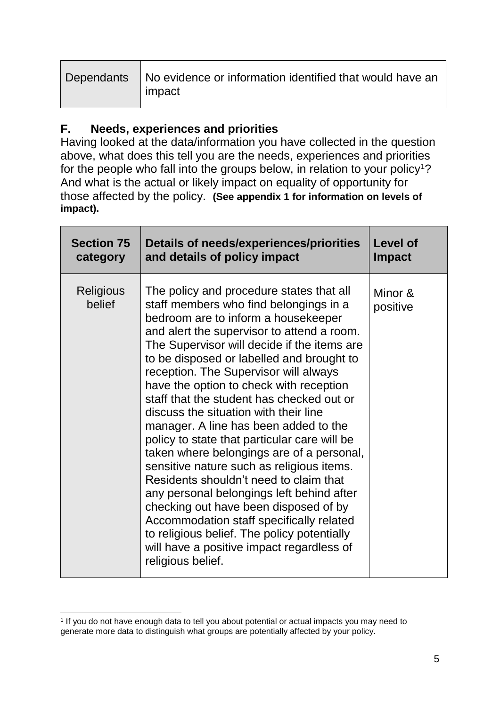| Dependants   No evidence or information identified that would have an |
|-----------------------------------------------------------------------|
| impact                                                                |

### **F. Needs, experiences and priorities**

Having looked at the data/information you have collected in the question above, what does this tell you are the needs, experiences and priorities for the people who fall into the groups below, in relation to your policy<sup>1</sup>? And what is the actual or likely impact on equality of opportunity for those affected by the policy. **(See appendix 1 for information on levels of impact).**

| <b>Section 75</b>          | Details of needs/experiences/priorities                                                                                                                                                                                                                                                                                                                                                                                                                                                                                                                                                                                                                                                                                                                                                                                                                                                                                       | <b>Level of</b>     |
|----------------------------|-------------------------------------------------------------------------------------------------------------------------------------------------------------------------------------------------------------------------------------------------------------------------------------------------------------------------------------------------------------------------------------------------------------------------------------------------------------------------------------------------------------------------------------------------------------------------------------------------------------------------------------------------------------------------------------------------------------------------------------------------------------------------------------------------------------------------------------------------------------------------------------------------------------------------------|---------------------|
| category                   | and details of policy impact                                                                                                                                                                                                                                                                                                                                                                                                                                                                                                                                                                                                                                                                                                                                                                                                                                                                                                  | <b>Impact</b>       |
| <b>Religious</b><br>belief | The policy and procedure states that all<br>staff members who find belongings in a<br>bedroom are to inform a housekeeper<br>and alert the supervisor to attend a room.<br>The Supervisor will decide if the items are<br>to be disposed or labelled and brought to<br>reception. The Supervisor will always<br>have the option to check with reception<br>staff that the student has checked out or<br>discuss the situation with their line<br>manager. A line has been added to the<br>policy to state that particular care will be<br>taken where belongings are of a personal,<br>sensitive nature such as religious items.<br>Residents shouldn't need to claim that<br>any personal belongings left behind after<br>checking out have been disposed of by<br>Accommodation staff specifically related<br>to religious belief. The policy potentially<br>will have a positive impact regardless of<br>religious belief. | Minor &<br>positive |

 $\overline{a}$ 1 If you do not have enough data to tell you about potential or actual impacts you may need to generate more data to distinguish what groups are potentially affected by your policy.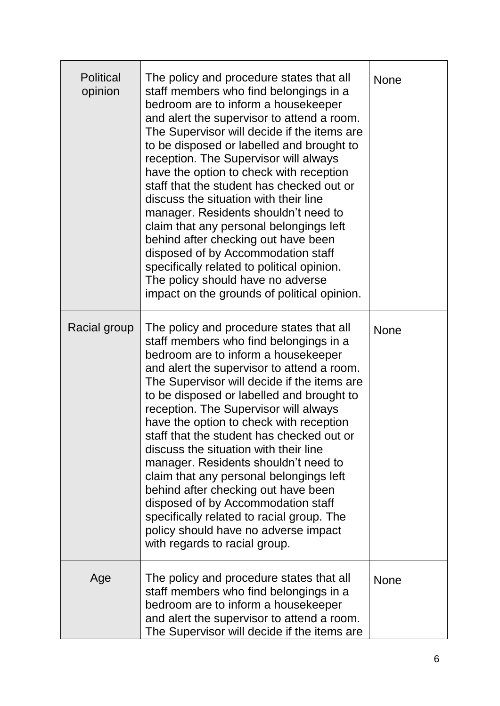| <b>Political</b><br>opinion | The policy and procedure states that all<br>staff members who find belongings in a<br>bedroom are to inform a housekeeper<br>and alert the supervisor to attend a room.<br>The Supervisor will decide if the items are<br>to be disposed or labelled and brought to<br>reception. The Supervisor will always<br>have the option to check with reception<br>staff that the student has checked out or<br>discuss the situation with their line<br>manager. Residents shouldn't need to<br>claim that any personal belongings left<br>behind after checking out have been<br>disposed of by Accommodation staff<br>specifically related to political opinion.<br>The policy should have no adverse<br>impact on the grounds of political opinion. | <b>None</b> |
|-----------------------------|-------------------------------------------------------------------------------------------------------------------------------------------------------------------------------------------------------------------------------------------------------------------------------------------------------------------------------------------------------------------------------------------------------------------------------------------------------------------------------------------------------------------------------------------------------------------------------------------------------------------------------------------------------------------------------------------------------------------------------------------------|-------------|
| Racial group                | The policy and procedure states that all<br>staff members who find belongings in a<br>bedroom are to inform a housekeeper<br>and alert the supervisor to attend a room.<br>The Supervisor will decide if the items are<br>to be disposed or labelled and brought to<br>reception. The Supervisor will always<br>have the option to check with reception<br>staff that the student has checked out or<br>discuss the situation with their line<br>manager. Residents shouldn't need to<br>claim that any personal belongings left<br>behind after checking out have been<br>disposed of by Accommodation staff<br>specifically related to racial group. The<br>policy should have no adverse impact<br>with regards to racial group.             | <b>None</b> |
| Age                         | The policy and procedure states that all<br>staff members who find belongings in a<br>bedroom are to inform a housekeeper<br>and alert the supervisor to attend a room.<br>The Supervisor will decide if the items are                                                                                                                                                                                                                                                                                                                                                                                                                                                                                                                          | <b>None</b> |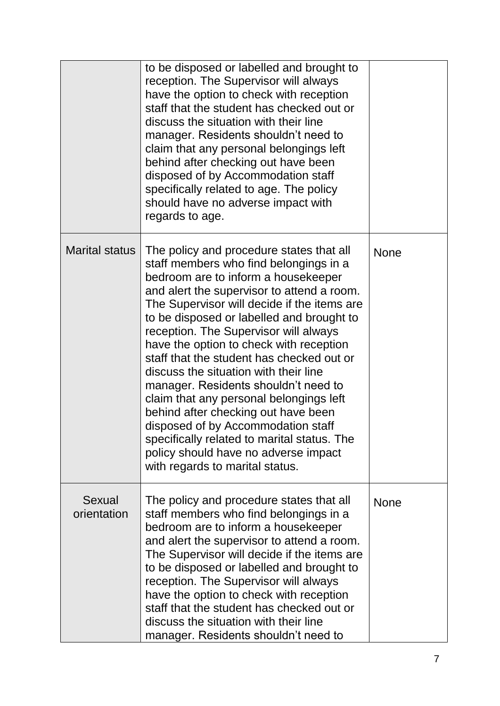|                       | to be disposed or labelled and brought to<br>reception. The Supervisor will always<br>have the option to check with reception<br>staff that the student has checked out or<br>discuss the situation with their line<br>manager. Residents shouldn't need to<br>claim that any personal belongings left<br>behind after checking out have been<br>disposed of by Accommodation staff<br>specifically related to age. The policy<br>should have no adverse impact with<br>regards to age.                                                                                                                                                                                                                                                 |             |
|-----------------------|-----------------------------------------------------------------------------------------------------------------------------------------------------------------------------------------------------------------------------------------------------------------------------------------------------------------------------------------------------------------------------------------------------------------------------------------------------------------------------------------------------------------------------------------------------------------------------------------------------------------------------------------------------------------------------------------------------------------------------------------|-------------|
| <b>Marital status</b> | The policy and procedure states that all<br>staff members who find belongings in a<br>bedroom are to inform a housekeeper<br>and alert the supervisor to attend a room.<br>The Supervisor will decide if the items are<br>to be disposed or labelled and brought to<br>reception. The Supervisor will always<br>have the option to check with reception<br>staff that the student has checked out or<br>discuss the situation with their line<br>manager. Residents shouldn't need to<br>claim that any personal belongings left<br>behind after checking out have been<br>disposed of by Accommodation staff<br>specifically related to marital status. The<br>policy should have no adverse impact<br>with regards to marital status. | <b>None</b> |
| Sexual<br>orientation | The policy and procedure states that all<br>staff members who find belongings in a<br>bedroom are to inform a housekeeper<br>and alert the supervisor to attend a room.<br>The Supervisor will decide if the items are<br>to be disposed or labelled and brought to<br>reception. The Supervisor will always<br>have the option to check with reception<br>staff that the student has checked out or<br>discuss the situation with their line<br>manager. Residents shouldn't need to                                                                                                                                                                                                                                                   | <b>None</b> |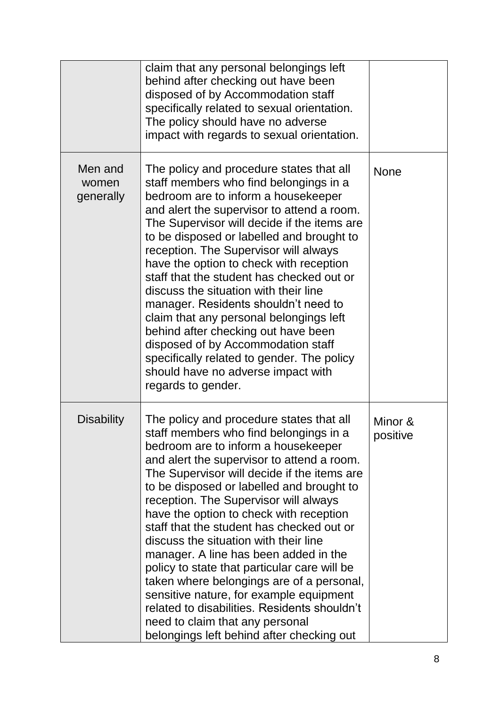|                               | claim that any personal belongings left<br>behind after checking out have been<br>disposed of by Accommodation staff<br>specifically related to sexual orientation.<br>The policy should have no adverse<br>impact with regards to sexual orientation.                                                                                                                                                                                                                                                                                                                                                                                                                                                                                                         |                     |
|-------------------------------|----------------------------------------------------------------------------------------------------------------------------------------------------------------------------------------------------------------------------------------------------------------------------------------------------------------------------------------------------------------------------------------------------------------------------------------------------------------------------------------------------------------------------------------------------------------------------------------------------------------------------------------------------------------------------------------------------------------------------------------------------------------|---------------------|
| Men and<br>women<br>generally | The policy and procedure states that all<br>staff members who find belongings in a<br>bedroom are to inform a housekeeper<br>and alert the supervisor to attend a room.<br>The Supervisor will decide if the items are<br>to be disposed or labelled and brought to<br>reception. The Supervisor will always<br>have the option to check with reception<br>staff that the student has checked out or<br>discuss the situation with their line<br>manager. Residents shouldn't need to<br>claim that any personal belongings left<br>behind after checking out have been<br>disposed of by Accommodation staff<br>specifically related to gender. The policy<br>should have no adverse impact with<br>regards to gender.                                        | <b>None</b>         |
| <b>Disability</b>             | The policy and procedure states that all<br>staff members who find belongings in a<br>bedroom are to inform a housekeeper<br>and alert the supervisor to attend a room.<br>The Supervisor will decide if the items are<br>to be disposed or labelled and brought to<br>reception. The Supervisor will always<br>have the option to check with reception<br>staff that the student has checked out or<br>discuss the situation with their line<br>manager. A line has been added in the<br>policy to state that particular care will be<br>taken where belongings are of a personal,<br>sensitive nature, for example equipment<br>related to disabilities. Residents shouldn't<br>need to claim that any personal<br>belongings left behind after checking out | Minor &<br>positive |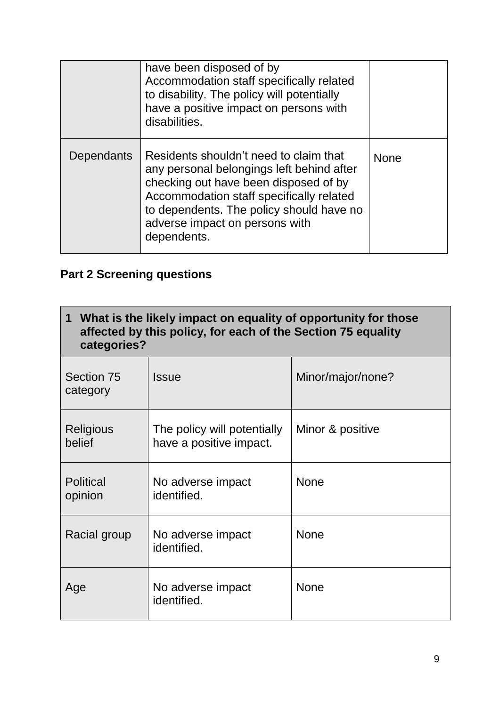|            | have been disposed of by<br>Accommodation staff specifically related<br>to disability. The policy will potentially<br>have a positive impact on persons with<br>disabilities.                                                                                         |             |
|------------|-----------------------------------------------------------------------------------------------------------------------------------------------------------------------------------------------------------------------------------------------------------------------|-------------|
| Dependants | Residents shouldn't need to claim that<br>any personal belongings left behind after<br>checking out have been disposed of by<br>Accommodation staff specifically related<br>to dependents. The policy should have no<br>adverse impact on persons with<br>dependents. | <b>None</b> |

# **Part 2 Screening questions**

| 1 What is the likely impact on equality of opportunity for those<br>affected by this policy, for each of the Section 75 equality<br>categories? |                                                        |                   |  |
|-------------------------------------------------------------------------------------------------------------------------------------------------|--------------------------------------------------------|-------------------|--|
| Section 75<br>category                                                                                                                          | <b>Issue</b>                                           | Minor/major/none? |  |
| Religious<br>belief                                                                                                                             | The policy will potentially<br>have a positive impact. | Minor & positive  |  |
| <b>Political</b><br>opinion                                                                                                                     | No adverse impact<br>identified.                       | <b>None</b>       |  |
| Racial group                                                                                                                                    | No adverse impact<br>identified.                       | <b>None</b>       |  |
| Age                                                                                                                                             | No adverse impact<br>identified.                       | <b>None</b>       |  |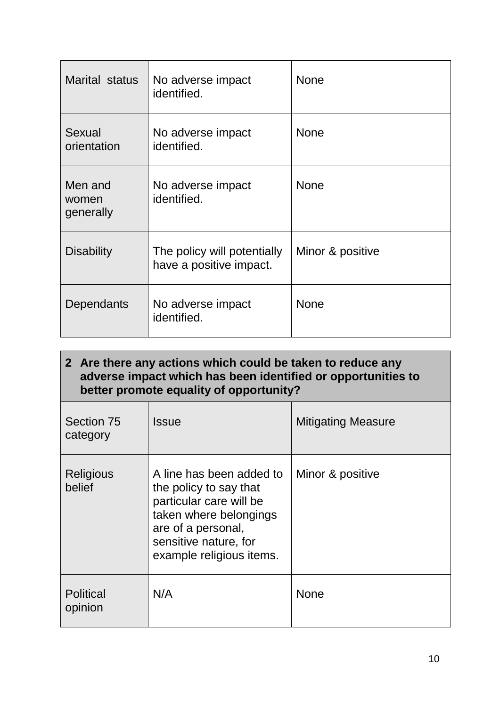| Marital status                | No adverse impact<br>identified.                       | <b>None</b>      |
|-------------------------------|--------------------------------------------------------|------------------|
| Sexual<br>orientation         | No adverse impact<br>identified.                       | <b>None</b>      |
| Men and<br>women<br>generally | No adverse impact<br>identified.                       | <b>None</b>      |
| <b>Disability</b>             | The policy will potentially<br>have a positive impact. | Minor & positive |
| Dependants                    | No adverse impact<br>identified.                       | <b>None</b>      |

| 2 Are there any actions which could be taken to reduce any<br>adverse impact which has been identified or opportunities to<br>better promote equality of opportunity? |                                                                                                                                                                                    |                           |  |
|-----------------------------------------------------------------------------------------------------------------------------------------------------------------------|------------------------------------------------------------------------------------------------------------------------------------------------------------------------------------|---------------------------|--|
| Section 75<br>category                                                                                                                                                | <b>Issue</b>                                                                                                                                                                       | <b>Mitigating Measure</b> |  |
| Religious<br>belief                                                                                                                                                   | A line has been added to<br>the policy to say that<br>particular care will be<br>taken where belongings<br>are of a personal,<br>sensitive nature, for<br>example religious items. | Minor & positive          |  |
| <b>Political</b><br>opinion                                                                                                                                           | N/A                                                                                                                                                                                | <b>None</b>               |  |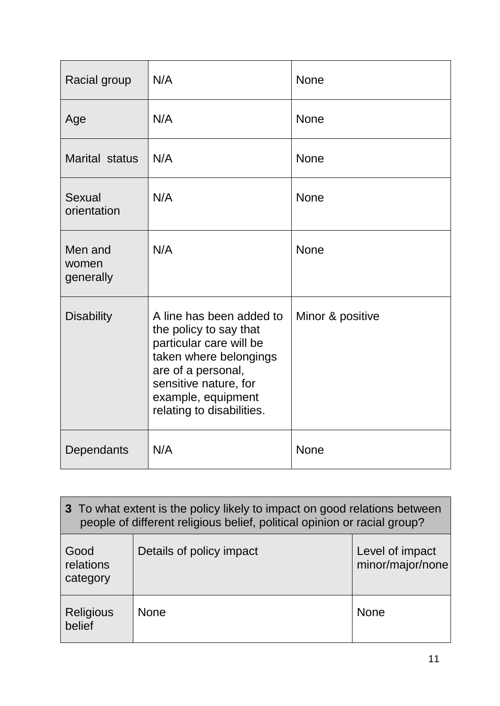| Racial group                  | N/A                                                                                                                                                                                                       | <b>None</b>      |
|-------------------------------|-----------------------------------------------------------------------------------------------------------------------------------------------------------------------------------------------------------|------------------|
| Age                           | N/A                                                                                                                                                                                                       | <b>None</b>      |
| Marital status                | N/A                                                                                                                                                                                                       | <b>None</b>      |
| Sexual<br>orientation         | N/A                                                                                                                                                                                                       | <b>None</b>      |
| Men and<br>women<br>generally | N/A                                                                                                                                                                                                       | <b>None</b>      |
| <b>Disability</b>             | A line has been added to<br>the policy to say that<br>particular care will be<br>taken where belongings<br>are of a personal,<br>sensitive nature, for<br>example, equipment<br>relating to disabilities. | Minor & positive |
| Dependants                    | N/A                                                                                                                                                                                                       | <b>None</b>      |

| 3 To what extent is the policy likely to impact on good relations between<br>people of different religious belief, political opinion or racial group? |                          |                                     |  |  |
|-------------------------------------------------------------------------------------------------------------------------------------------------------|--------------------------|-------------------------------------|--|--|
| Good<br>relations<br>category                                                                                                                         | Details of policy impact | Level of impact<br>minor/major/none |  |  |
| <b>Religious</b><br>belief                                                                                                                            | <b>None</b>              | <b>None</b>                         |  |  |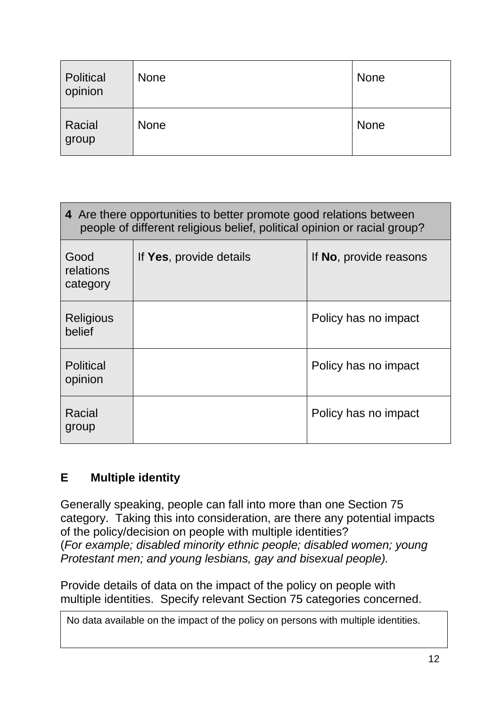| Political<br>opinion | <b>None</b> | <b>None</b> |
|----------------------|-------------|-------------|
| Racial<br>group      | <b>None</b> | None        |

| 4 Are there opportunities to better promote good relations between<br>people of different religious belief, political opinion or racial group? |                         |                        |  |  |
|------------------------------------------------------------------------------------------------------------------------------------------------|-------------------------|------------------------|--|--|
| Good<br>relations<br>category                                                                                                                  | If Yes, provide details | If No, provide reasons |  |  |
| <b>Religious</b><br>belief                                                                                                                     |                         | Policy has no impact   |  |  |
| <b>Political</b><br>opinion                                                                                                                    |                         | Policy has no impact   |  |  |
| Racial<br>group                                                                                                                                |                         | Policy has no impact   |  |  |

# **E Multiple identity**

Generally speaking, people can fall into more than one Section 75 category. Taking this into consideration, are there any potential impacts of the policy/decision on people with multiple identities? (*For example; disabled minority ethnic people; disabled women; young Protestant men; and young lesbians, gay and bisexual people).*

Provide details of data on the impact of the policy on people with multiple identities. Specify relevant Section 75 categories concerned.

No data available on the impact of the policy on persons with multiple identities.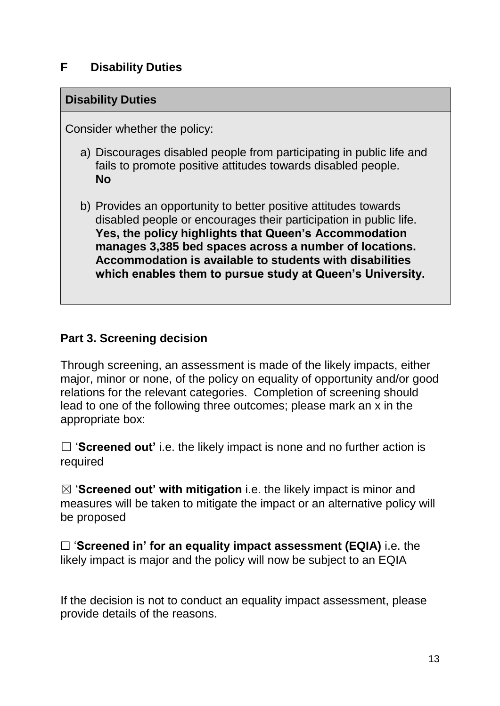### **F Disability Duties**

#### **Disability Duties**

Consider whether the policy:

- a) Discourages disabled people from participating in public life and fails to promote positive attitudes towards disabled people. **No**
- b) Provides an opportunity to better positive attitudes towards disabled people or encourages their participation in public life. **Yes, the policy highlights that Queen's Accommodation manages 3,385 bed spaces across a number of locations. Accommodation is available to students with disabilities which enables them to pursue study at Queen's University.**

### **Part 3. Screening decision**

Through screening, an assessment is made of the likely impacts, either major, minor or none, of the policy on equality of opportunity and/or good relations for the relevant categories. Completion of screening should lead to one of the following three outcomes; please mark an x in the appropriate box:

□ '**Screened out'** i.e. the likely impact is none and no further action is required

☒ '**Screened out' with mitigation** i.e. the likely impact is minor and measures will be taken to mitigate the impact or an alternative policy will be proposed

☐ '**Screened in' for an equality impact assessment (EQIA)** i.e. the likely impact is major and the policy will now be subject to an EQIA

If the decision is not to conduct an equality impact assessment, please provide details of the reasons.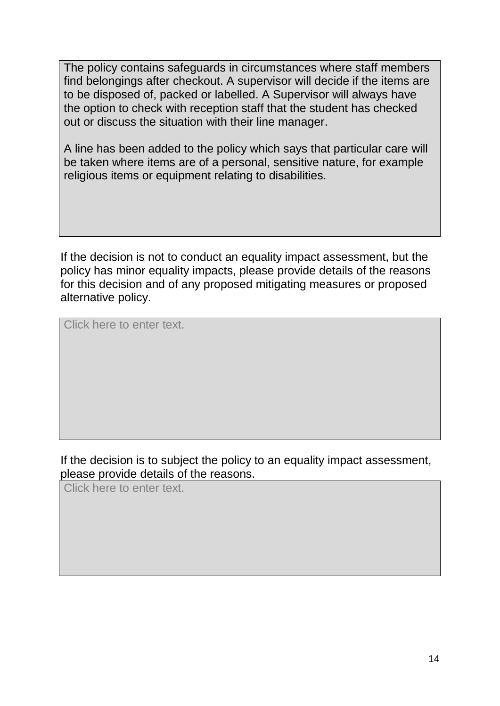The policy contains safeguards in circumstances where staff members find belongings after checkout. A supervisor will decide if the items are to be disposed of, packed or labelled. A Supervisor will always have the option to check with reception staff that the student has checked out or discuss the situation with their line manager.

A line has been added to the policy which says that particular care will be taken where items are of a personal, sensitive nature, for example religious items or equipment relating to disabilities.

If the decision is not to conduct an equality impact assessment, but the policy has minor equality impacts, please provide details of the reasons for this decision and of any proposed mitigating measures or proposed alternative policy.

Click here to enter text.

#### If the decision is to subject the policy to an equality impact assessment, please provide details of the reasons.

Click here to enter text.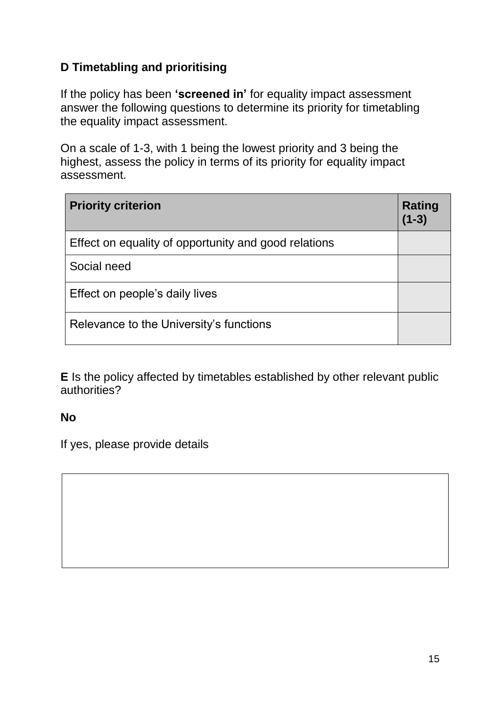# **D Timetabling and prioritising**

If the policy has been **'screened in'** for equality impact assessment answer the following questions to determine its priority for timetabling the equality impact assessment.

On a scale of 1-3, with 1 being the lowest priority and 3 being the highest, assess the policy in terms of its priority for equality impact assessment.

| <b>Priority criterion</b>                            | Rating<br>$(1-3)$ |
|------------------------------------------------------|-------------------|
| Effect on equality of opportunity and good relations |                   |
| Social need                                          |                   |
| Effect on people's daily lives                       |                   |
| Relevance to the University's functions              |                   |

**E** Is the policy affected by timetables established by other relevant public authorities?

### **No**

If yes, please provide details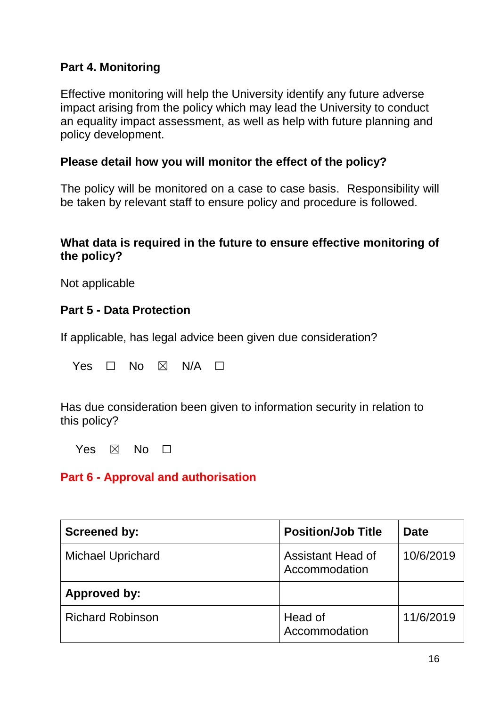### **Part 4. Monitoring**

Effective monitoring will help the University identify any future adverse impact arising from the policy which may lead the University to conduct an equality impact assessment, as well as help with future planning and policy development.

### **Please detail how you will monitor the effect of the policy?**

The policy will be monitored on a case to case basis. Responsibility will be taken by relevant staff to ensure policy and procedure is followed.

#### **What data is required in the future to ensure effective monitoring of the policy?**

Not applicable

### **Part 5 - Data Protection**

If applicable, has legal advice been given due consideration?

Yes  $\Box$  No  $\boxtimes$  N/A  $\Box$ 

Has due consideration been given to information security in relation to this policy?

Yes  $\boxtimes$  No  $\Box$ 

### **Part 6 - Approval and authorisation**

| <b>Screened by:</b>      | <b>Position/Job Title</b>                 | <b>Date</b> |
|--------------------------|-------------------------------------------|-------------|
| <b>Michael Uprichard</b> | <b>Assistant Head of</b><br>Accommodation | 10/6/2019   |
| Approved by:             |                                           |             |
| <b>Richard Robinson</b>  | Head of<br>Accommodation                  | 11/6/2019   |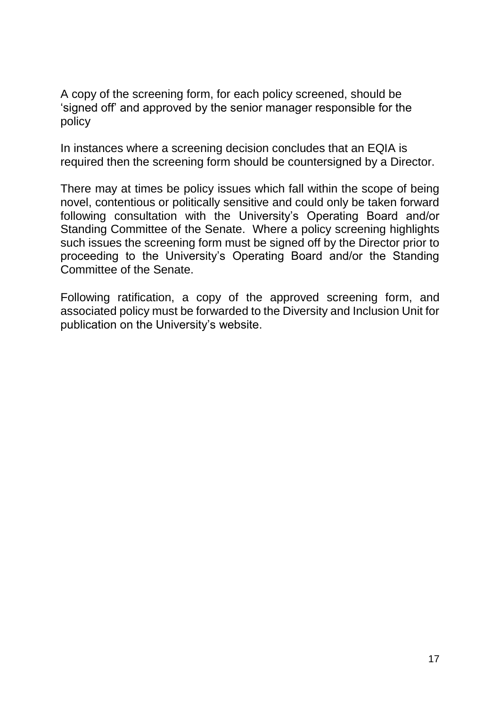A copy of the screening form, for each policy screened, should be 'signed off' and approved by the senior manager responsible for the policy

In instances where a screening decision concludes that an EQIA is required then the screening form should be countersigned by a Director.

There may at times be policy issues which fall within the scope of being novel, contentious or politically sensitive and could only be taken forward following consultation with the University's Operating Board and/or Standing Committee of the Senate. Where a policy screening highlights such issues the screening form must be signed off by the Director prior to proceeding to the University's Operating Board and/or the Standing Committee of the Senate.

Following ratification, a copy of the approved screening form, and associated policy must be forwarded to the Diversity and Inclusion Unit for publication on the University's website.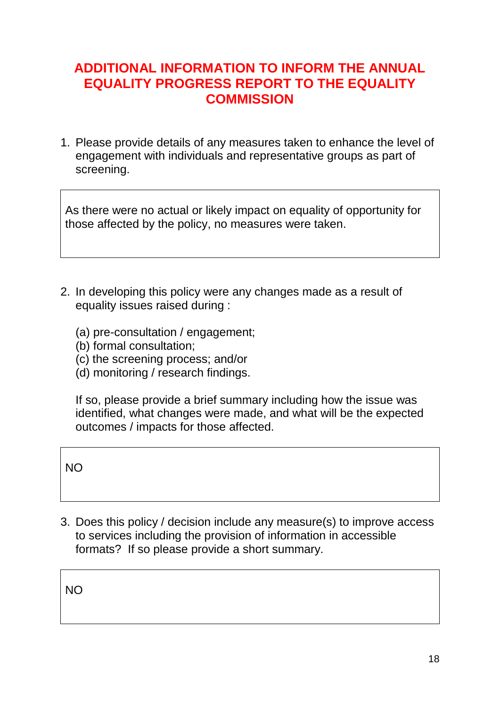# **ADDITIONAL INFORMATION TO INFORM THE ANNUAL EQUALITY PROGRESS REPORT TO THE EQUALITY COMMISSION**

1. Please provide details of any measures taken to enhance the level of engagement with individuals and representative groups as part of screening.

As there were no actual or likely impact on equality of opportunity for those affected by the policy, no measures were taken.

- 2. In developing this policy were any changes made as a result of equality issues raised during :
	- (a) pre-consultation / engagement;
	- (b) formal consultation;
	- (c) the screening process; and/or
	- (d) monitoring / research findings.

If so, please provide a brief summary including how the issue was identified, what changes were made, and what will be the expected outcomes / impacts for those affected.

NO

3. Does this policy / decision include any measure(s) to improve access to services including the provision of information in accessible formats? If so please provide a short summary.

NO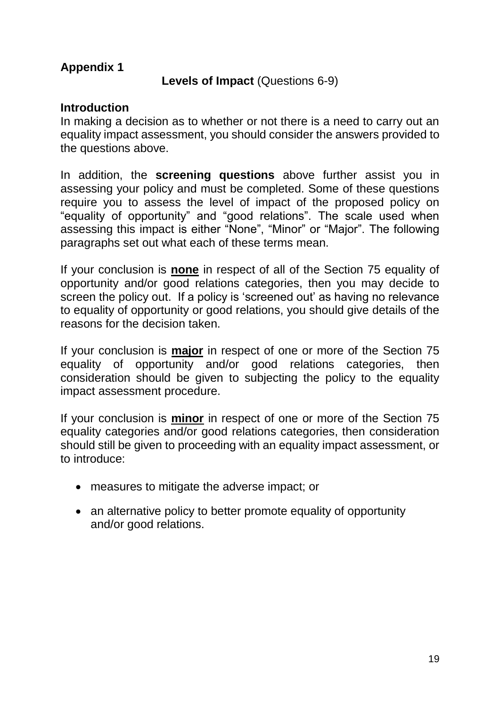### **Appendix 1**

#### **Levels of Impact** (Questions 6-9)

#### **Introduction**

In making a decision as to whether or not there is a need to carry out an equality impact assessment, you should consider the answers provided to the questions above.

In addition, the **screening questions** above further assist you in assessing your policy and must be completed. Some of these questions require you to assess the level of impact of the proposed policy on "equality of opportunity" and "good relations". The scale used when assessing this impact is either "None", "Minor" or "Major". The following paragraphs set out what each of these terms mean.

If your conclusion is **none** in respect of all of the Section 75 equality of opportunity and/or good relations categories, then you may decide to screen the policy out. If a policy is 'screened out' as having no relevance to equality of opportunity or good relations, you should give details of the reasons for the decision taken.

If your conclusion is **major** in respect of one or more of the Section 75 equality of opportunity and/or good relations categories, then consideration should be given to subjecting the policy to the equality impact assessment procedure.

If your conclusion is **minor** in respect of one or more of the Section 75 equality categories and/or good relations categories, then consideration should still be given to proceeding with an equality impact assessment, or to introduce:

- measures to mitigate the adverse impact; or
- an alternative policy to better promote equality of opportunity and/or good relations.